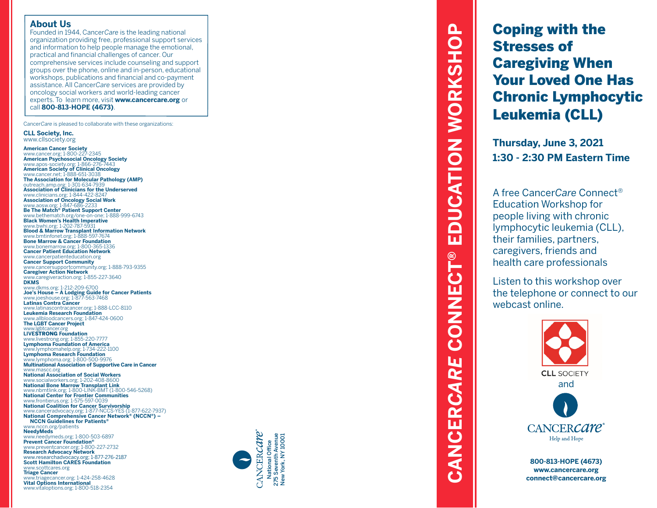#### **About Us**

Founded in 1944, Cancer*Care* is the leading national organization providing free, professional support services and information to help people manage the emotional, practical and financial challenges of cancer. Our comprehensive services include counseling and support groups over the phone, online and in-person, educational workshops, publications and financial and co-payment assistance. All Cancer*Care* services are provided by oncology social workers and world-leading cancer experts. To learn more, visit **www.cancercare.org** or call **800-813-HOPE (4673)** .

Cancer*Care* is pleased to collaborate with these organizations:

**CLL Society, Inc.**

www.cllsociety.org **American Cancer Society** www.cancer.org; 1-800-227-2345 **American Psychosocial Oncology Society** www.apos-society.org; 1-866-276-7443 **American Society of Clinical Oncology** www.cancer.net; 1-888-651-3038 **The Association for Molecular Pathology (AMP)** outreach.amp.org; 1-301-634-7939 **Association of Clinicians for the Underserved** www.clinicians.org; 1-844-422-8247 **Association of Oncology Social Work** www.aosw.org; 1-847-686-2233 **Be The Match ® Patient Support Center** www.bethematch.org/one-on-one; 1-888-999-6743 **Black Women's Health Imperative** www.bwhi.org; 1-202-787-5931 **Blood & Marrow Transplant Information Network** www.bmtinfonet.org; 1-888-597-7674 **Bone Marrow & Cancer Foundation** www.bonemarrow.org; 1-800-365-1336 **Cancer Patient Education Network** www.cancerpatienteducation.org **Cancer Support Community** www.cancersupportcommunity.org; 1-888-793-9355 **Caregiver Action Network** www.caregiveraction.org; 1-855-227-3640 **DKMS** www.dkms.org; 1-212-209-6700 **Joe's House – A Lodging Guide for Cancer Patients** www.joeshouse.org; 1-877-563-7468 **Latinas Contra Cancer** www.latinascontracancer.org; 1-888-LCC-8110 **Leukemia Research Foundation** www.allbloodcancers.org; 1-847-424-0600 **The LGBT Cancer Project** www.lgbtcancer.org **LIVE**STRONG **Foundation** www.livestrong.org; 1-855-220-7777 **Lymphoma Foundation of America** www.lymphomahelp.org; 1-734-222-1100 **Lymphoma Research Foundation** www.lymphoma.org; 1-800-500-9976 **Multinational Association of Supportive Care in Cancer** www.mascc.org **National Association of Social Workers** www.socialworkers.org; 1-202-408-8600 **National Bone Marrow Transplant Link** www.nbmtlink.org; 1-800-LINK-BMT (1-800-546-5268) **National Center for Frontier Communities** www.frontierus.org; 1-575-597-0039 **National Coalition for Cancer Survivorship** www.canceradvocacy.org; 1-877-NCCS-YES (1-877-622-7937) **National Comprehensive Cancer Network ® (NCCN ®) – NCCN Guidelines for Patients ®** www.nccn.org/patients **NeedyMeds** www.needymeds.org; 1-800-503-6897 **Prevent Cancer Foundation ®** www.preventcancer.org; 1-800-227-2732 **Research Advocacy Network** www.researchadvocacy.org; 1-877-276-2187 **Scott Hamilton CARES Foundation** www.scottcares.org **Triage Cancer** www.triagecancer.org; 1-424-258-4628 **Vital Options International**

www.vitaloptions.org; 1-800-518-2354



# **EDUCATION WORKSHOP CANCER***CARE* **CONNECT® EDUCATION WORKSHOP CONNECT®** CANCERCARE

Coping with the Stresses of Caregiving When Your Loved One Has Chronic Lymphocytic Leukemia (CLL)

**Thursday, June 3, 2021 1:30 - 2:30 PM Eastern Time**

A free Cancer*Care* Connect ® Education Workshop for people living with chronic lymphocytic leukemia (CLL), their families, partners, caregivers, friends and health care professionals

Listen to this workshop over the telephone or connect to our webcast online.



**800-813-HOPE (4673) www.cancercare.org connect@cancercare.org**